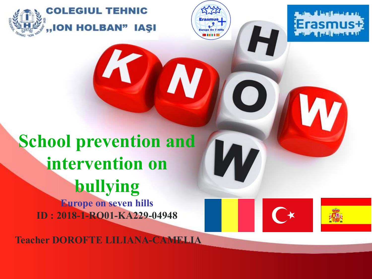

**Europe On 7 Hi** 

### **School prevention and intervention on bullying Europe on seven hills**

**ID : 2018-1-RO01-KA229-04948**

**Teacher DOROFTE LILIANA-CAMELIA**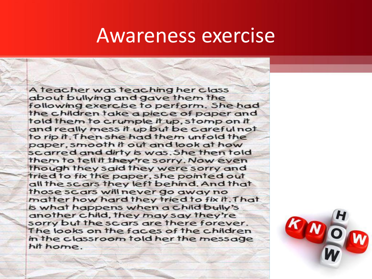### Awareness exercise

A teacher was teaching her class about bullying and gave them the following exercise to perform. She had the children take a piece of paper and told them to crumple it up, stomp on it and really mess it up but be careful not to rip it. Then she had them unfold the paper, smooth it out and look at how scarred and dirty is was. She then told them to tell it they're sorry. Now even though they said they were sorry and tried to fix the paper, she pointed out all the scars they left behind. And that those scars will never go away no matter how hard they tried to fix it. That is what happens when a child bully's another child, they may say they're sorry but the scars are there forever. The looks on the faces of the children in the classroom told her the message hit home.

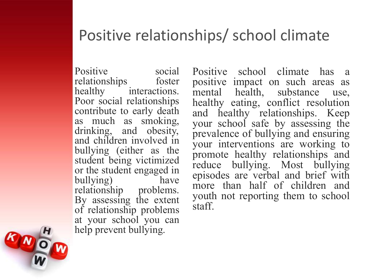### Positive relationships/ school climate

Positive social relationships foster healthy interactions. Poor social relationships contribute to early death as much as smoking, drinking, and obesity, and children involved in bullying (either as the student being victimized or the student engaged in<br>bullying bullying) relationship problems. By assessing the extent of relationship problems at your school you can help prevent bullying.

Positive school climate has a positive impact on such areas as mental health, substance use, healthy eating, conflict resolution and healthy relationships. Keep your school safe by assessing the prevalence of bullying and ensuring your interventions are working to promote healthy relationships and reduce bullying. Most bullying episodes are verbal and brief with more than half of children and youth not reporting them to school staff.

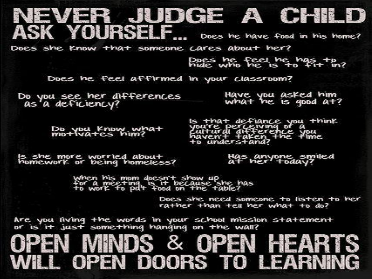#### NEVER JUDGE A CHILD ASK YOURSELF... Does he have food in his home?

Does she Know that someone cares about her?

Does he feel he has to

Does he feel affirmed in your classroom?

Do you see her differences<br>as a deficiency?

Have you asked him what he is good  $a+7$ 

Do you Know what<br>motivates him?

Is that defiance you think you're perceiving of a<br>cultural difference you<br>haven't taken the time

Is she more worried about<br>homework or being homeless?

Has anyone smiled<br>at her today?

when his mom doesn't show up<br>for a meeting is it because she has<br>to work to pat food on the table?

Does she need someone to listen to her rather than tell her what to do?

Are you living the words in your school mission statement<br>or is it just something hanging on the wall?

### JPEN MINDS & OPEN HEART . OPEN DOORS TO LEARNIN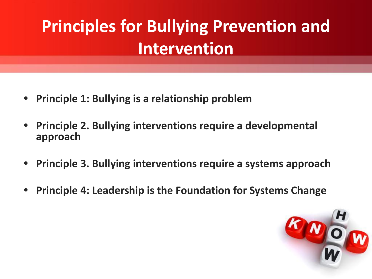## **Principles for Bullying Prevention and Intervention**

- **• Principle 1: Bullying is a relationship problem**
- **• Principle 2. Bullying interventions require a developmental approach**
- **• Principle 3. Bullying interventions require a systems approach**
- **• Principle 4: Leadership is the Foundation for Systems Change**

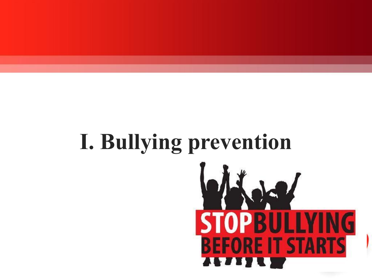# **I. Bullying preventionSTOPB** ING **BEFORE IT STARTS**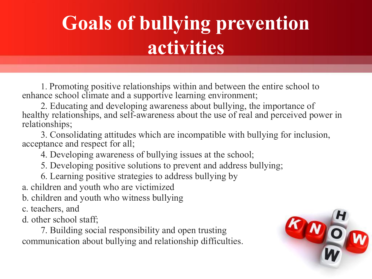## **Goals of bullying prevention activities**

1. Promoting positive relationships within and between the entire school to enhance school climate and a supportive learning environment;

2. Educating and developing awareness about bullying, the importance of healthy relationships, and self-awareness about the use of real and perceived power in relationships;

3. Consolidating attitudes which are incompatible with bullying for inclusion, acceptance and respect for all;

4. Developing awareness of bullying issues at the school;

5. Developing positive solutions to prevent and address bullying;

6. Learning positive strategies to address bullying by

a. children and youth who are victimized

b. children and youth who witness bullying

c. teachers, and

d. other school staff;

7. Building social responsibility and open trusting communication about bullying and relationship difficulties.

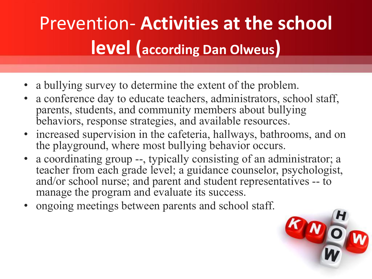## Prevention- **Activities at the school level (according Dan Olweus)**

- a bullying survey to determine the extent of the problem.
- a conference day to educate teachers, administrators, school staff, parents, students, and community members about bullying behaviors, response strategies, and available resources.
- increased supervision in the cafeteria, hallways, bathrooms, and on the playground, where most bullying behavior occurs.
- a coordinating group --, typically consisting of an administrator; a teacher from each grade level; a guidance counselor, psychologist, and/or school nurse; and parent and student representatives -- to manage the program and evaluate its success.
- ongoing meetings between parents and school staff.

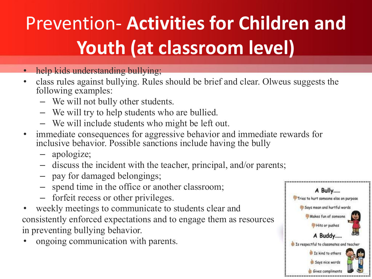## Prevention- **Activities for Children and Youth (at classroom level)**

- help kids understanding bullying;
- class rules against bullying. Rules should be brief and clear. Olweus suggests the following examples:
	- We will not bully other students.
	- We will try to help students who are bullied.
	- We will include students who might be left out.
- immediate consequences for aggressive behavior and immediate rewards for inclusive behavior. Possible sanctions include having the bully
	- apologize;
	- discuss the incident with the teacher, principal, and/or parents;
	- pay for damaged belongings;
	- spend time in the office or another classroom;
	- forfeit recess or other privileges.
- weekly meetings to communicate to students clear and consistently enforced expectations and to engage them as resources in preventing bullying behavior.
- ongoing communication with parents.

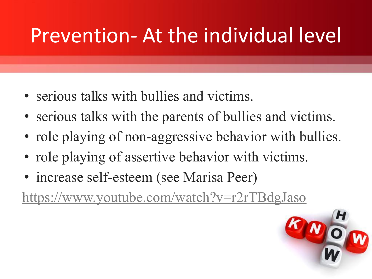## Prevention- At the individual level

- serious talks with bullies and victims.
- serious talks with the parents of bullies and victims.
- role playing of non-aggressive behavior with bullies.
- role playing of assertive behavior with victims.
- increase self-esteem (see Marisa Peer)

[https://www.youtube.com/watch?v=r2rTBdgJaso](https://www.google.com/url?q=https://www.youtube.com/watch?v%3Dr2rTBdgJaso&sa=D&source=editors&ust=1634208800791000&usg=AOvVaw09cqoJEvIcabkgUszjv-q7)

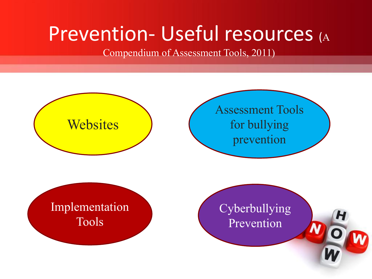## Prevention- Useful resources (A

Compendium of Assessment Tools, 2011)

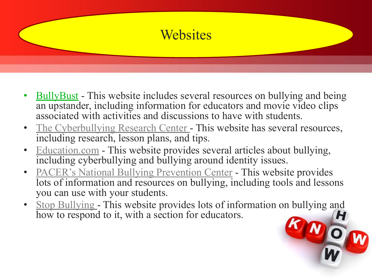

- **[BullyBust](https://www.google.com/url?q=http://www.bullybust.org/educators&sa=D&source=editors&ust=1634208800841000&usg=AOvVaw1kwJsavOvuKIUmwCiLYUYq)** This website includes several resources on bullying and being an upstander, including information for educators and movie video clips associated with activities and discussions to have with students.
- [The Cyberbullying Research Center](https://www.google.com/url?q=http://cyberbullying.us/resources%23educators&sa=D&source=editors&ust=1634208800841000&usg=AOvVaw1VyCLDK8GCKW0R6P_3eBpm)  This website has several resources, including research, lesson plans, and tips.
- [Education.com](https://www.google.com/url?q=http://www.education.com/topic/school-bullying-teasing/&sa=D&source=editors&ust=1634208800841000&usg=AOvVaw0Qf6AOEagBy1_2ClhEbW42) This website provides several articles about bullying, including cyberbullying and bullying around identity issues.
- [PACER's National Bullying Prevention Center](https://www.google.com/url?q=http://www.pacer.org/bullying/&sa=D&source=editors&ust=1634208800841000&usg=AOvVaw2B7n4Wms6fVSkgL9LoBKsK) This website provides lots of information and resources on bullying, including tools and lessons you can use with your students.
- [Stop Bullying](https://www.google.com/url?q=http://stopbullying.gov/&sa=D&source=editors&ust=1634208800842000&usg=AOvVaw1h0BgeHDP65NSkoIDksKIs)  This website provides lots of information on bullying and how to respond to it, with a section for educators.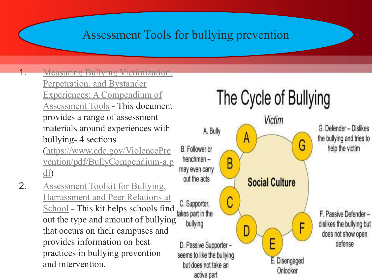#### Assessment Tools for bullying prevention

1. [Measuring Bullying Victimization,](https://www.google.com/url?q=http://www.cdc.gov/ViolencePrevention/pdf/BullyCompendium-a.pdf&sa=D&source=editors&ust=1634208800865000&usg=AOvVaw0rj_iiSBrH0YoGulop4Lzi)

[Perpetration, and Bystander](https://www.google.com/url?q=http://www.cdc.gov/ViolencePrevention/pdf/BullyCompendium-a.pdf&sa=D&source=editors&ust=1634208800866000&usg=AOvVaw1xXWIlFC8kRQa9wMLZ0QQN) [Experiences: A Compendium of](https://www.google.com/url?q=http://www.cdc.gov/ViolencePrevention/pdf/BullyCompendium-a.pdf&sa=D&source=editors&ust=1634208800866000&usg=AOvVaw1xXWIlFC8kRQa9wMLZ0QQN) [Assessment Tools](https://www.google.com/url?q=http://www.cdc.gov/ViolencePrevention/pdf/BullyCompendium-a.pdf&sa=D&source=editors&ust=1634208800866000&usg=AOvVaw1xXWIlFC8kRQa9wMLZ0QQN) - This document provides a range of assessment materials around experiences with bullying- 4 sections

[\(https://www.cdc.gov/ViolencePre](https://www.google.com/url?q=https://www.cdc.gov/ViolencePrevention/pdf/BullyCompendium-a.pdf&sa=D&source=editors&ust=1634208800866000&usg=AOvVaw16Np87VDnMSBE54NIU_iQv) [vention/pdf/BullyCompendium-a.p](https://www.google.com/url?q=https://www.cdc.gov/ViolencePrevention/pdf/BullyCompendium-a.pdf&sa=D&source=editors&ust=1634208800866000&usg=AOvVaw16Np87VDnMSBE54NIU_iQv) [df](https://www.google.com/url?q=https://www.cdc.gov/ViolencePrevention/pdf/BullyCompendium-a.pdf&sa=D&source=editors&ust=1634208800867000&usg=AOvVaw2R2H5DNMdw_7j0nNPU8VuM))

2. [Assessment Toolkit for Bullying,](https://www.google.com/url?q=http://www.cpha.ca/uploads/progs/_/safeschools/assessment_toolkit_e.pdf&sa=D&source=editors&ust=1634208800867000&usg=AOvVaw1rc5c3IZittpKnsMd3TQ0p) [Harrassment and Peer Relations at](https://www.google.com/url?q=http://www.cpha.ca/uploads/progs/_/safeschools/assessment_toolkit_e.pdf&sa=D&source=editors&ust=1634208800867000&usg=AOvVaw1rc5c3IZittpKnsMd3TQ0p) [School](https://www.google.com/url?q=http://www.cpha.ca/uploads/progs/_/safeschools/assessment_toolkit_e.pdf&sa=D&source=editors&ust=1634208800867000&usg=AOvVaw1rc5c3IZittpKnsMd3TQ0p) - This kit helps schools find takes part in the out the type and amount of bullying that occurs on their campuses and provides information on best practices in bullying prevention and intervention.

## The Cycle of Bullying

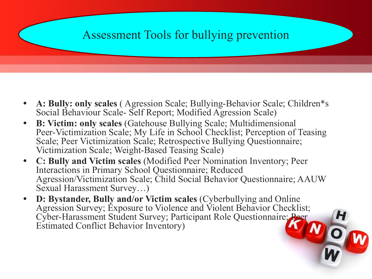#### Assessment Tools for bullying prevention

- **• A: Bully: only scales** ( Agression Scale; Bullying-Behavior Scale; Children\*s Social Behaviour Scale- Self Report; Modified Agression Scale)
- **• B: Victim: only scales** (Gatehouse Bullying Scale; Multidimensional Peer-Victimization Scale; My Life in School Checklist; Perception of Teasing Scale; Peer Victimization Scale; Retrospective Bullying Questionnaire; Victimization Scale; Weight-Based Teasing Scale)
- **• C: Bully and Victim scales** (Modified Peer Nomination Inventory; Peer Interactions in Primary School Questionnaire; Reduced Agression/Victimization Scale; Child Social Behavior Questionnaire; AAUW Sexual Harassment Survey…)
- **• D: Bystander, Bully and/or Victim scales** (Cyberbullying and Online Agression Survey; Exposure to Violence and Violent Behavior Checklist; Cyber-Harassment Student Survey; Participant Role Questionnaire; Peer<br>Estimated Conflict Behavior Inventory) Estimated Conflict Behavior Inventory)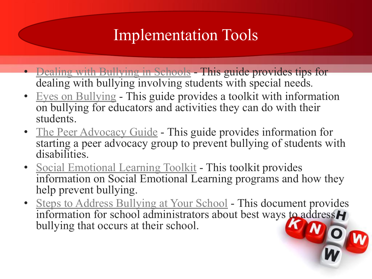### Implementation Tools

- [Dealing with Bullying in Schools](https://www.google.com/url?q=http://specialneeds.thebullyproject.com/bullying_in_schools&sa=D&source=editors&ust=1634208801156000&usg=AOvVaw0WTDn2Q4uZp6jzOA9WQHAw)  This guide provides tips for dealing with bullying involving students with special needs*.*
- [Eyes on Bullying](https://www.google.com/url?q=http://www.eyesonbullying.org/pdfs/toolkit.pdf&sa=D&source=editors&ust=1634208801157000&usg=AOvVaw0QlGJQJwYHjtXYaDXoEcMP) This guide provides a toolkit with information on bullying for educators and activities they can do with their students.
- [The Peer Advocacy Guide](https://www.google.com/url?q=http://www.pacer.org/bullying/resources/toolkits/pdf/PeerAdvocacyGuide.pdf&sa=D&source=editors&ust=1634208801157000&usg=AOvVaw32I68WH0HCqO3UIVFBg02d) This guide provides information for starting a peer advocacy group to prevent bullying of students with disabilities.
- [Social Emotional Learning Toolkit](https://www.google.com/url?q=https://d3n8a8pro7vhmx.cloudfront.net/themes/51172dcc1ad07a63d6000002/attachments/original/1361410998/2_SocialEmotionalLearningToolkit.pdf_-_link_to_2.pdf?1361410998&sa=D&source=editors&ust=1634208801157000&usg=AOvVaw2UfJ0rUYheNH2eWJW5IIQv)  This toolkit provides information on Social Emotional Learning programs and how they help prevent bullying.
- [Steps to Address Bullying at Your School](https://www.google.com/url?q=http://www.creducation.org/resources/SBN_Tip_15.pdf&sa=D&source=editors&ust=1634208801157000&usg=AOvVaw03z4nFwMG2rO0GZxJA3xqQ) This document provides information for school administrators about best ways to address H<br>bullying that occurs at their school. bullying that occurs at their school.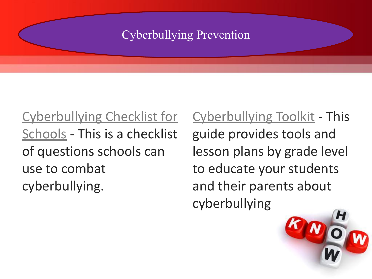#### Cyberbullying Prevention

[Cyberbullying Checklist for](https://www.google.com/url?q=http://d3n8a8pro7vhmx.cloudfront.net/themes/51e1be8f9670a42080000002/attachments/original/1377636639/5_CyberbullyingChecklistforSchools.pdf?1377636639&sa=D&source=editors&ust=1634208801191000&usg=AOvVaw2XGqWbGL_3uIhkPDik5gQ2) [Schools](https://www.google.com/url?q=http://d3n8a8pro7vhmx.cloudfront.net/themes/51e1be8f9670a42080000002/attachments/original/1377636639/5_CyberbullyingChecklistforSchools.pdf?1377636639&sa=D&source=editors&ust=1634208801191000&usg=AOvVaw2XGqWbGL_3uIhkPDik5gQ2) - This is a checklist of questions schools can use to combat cyberbullying.

[Cyberbullying Toolkit](https://www.google.com/url?q=https://www.commonsensemedia.org/educators/cyberbullying-toolkit&sa=D&source=editors&ust=1634208801218000&usg=AOvVaw2VnPb-QIQ18ayLZEc1NYQ4) - This guide provides tools and lesson plans by grade level to educate your students and their parents about cyberbullying

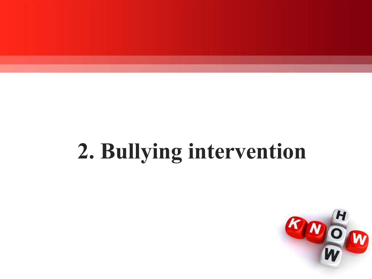## **2. Bullying intervention**

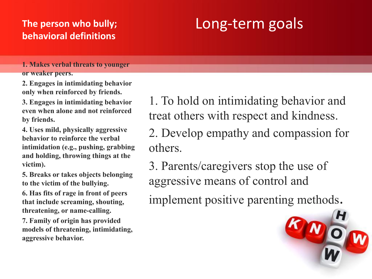#### **The person who bully; behavioral definitions**

### Long-term goals

**1. Makes verbal threats to younger or weaker peers.** 

**2. Engages in intimidating behavior only when reinforced by friends.** 

**3. Engages in intimidating behavior even when alone and not reinforced by friends.** 

**4. Uses mild, physically aggressive behavior to reinforce the verbal intimidation (e.g., pushing, grabbing and holding, throwing things at the victim).** 

**5. Breaks or takes objects belonging to the victim of the bullying.** 

**6. Has fits of rage in front of peers that include screaming, shouting, threatening, or name-calling.** 

**7. Family of origin has provided models of threatening, intimidating, aggressive behavior.**

1. To hold on intimidating behavior and treat others with respect and kindness.

2. Develop empathy and compassion for others.

3. Parents/caregivers stop the use of aggressive means of control and

implement positive parenting methods.

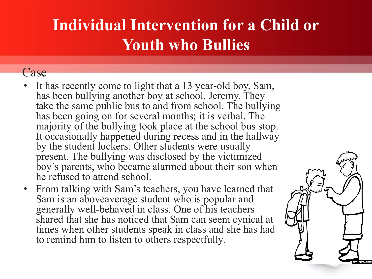### **Individual Intervention for a Child or Youth who Bullies**

#### Case

- It has recently come to light that a 13 year-old boy, Sam, has been bullying another boy at school, Jeremy. They take the same public bus to and from school. The bullying has been going on for several months; it is verbal. The majority of the bullying took place at the school bus stop. It occasionally happened during recess and in the hallway by the student lockers. Other students were usually present. The bullying was disclosed by the victimized boy's parents, who became alarmed about their son when he refused to attend school.
- From talking with Sam's teachers, you have learned that Sam is an aboveaverage student who is popular and generally well-behaved in class. One of his teachers shared that she has noticed that Sam can seem cynical at times when other students speak in class and she has had to remind him to listen to others respectfully.

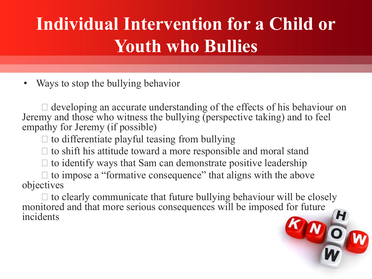## **Individual Intervention for a Child or Youth who Bullies**

Ways to stop the bullying behavior

 $\Box$  developing an accurate understanding of the effects of his behaviour on Jeremy and those who witness the bullying (perspective taking) and to feel empathy for Jeremy (if possible)

 $\Box$  to differentiate playful teasing from bullying

 $\Box$  to shift his attitude toward a more responsible and moral stand

 $\Box$  to identify ways that Sam can demonstrate positive leadership

 $\Box$  to impose a "formative consequence" that aligns with the above objectives

 $\Box$  to clearly communicate that future bullying behaviour will be closely monitored and that more serious consequences will be imposed for future incidents

OW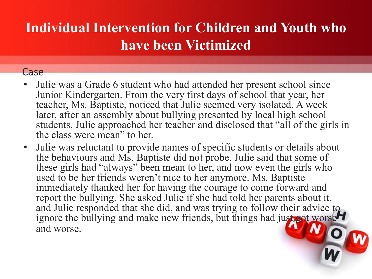### **Individual Intervention for Children and Youth who have been Victimized**

#### Case

- Julie was a Grade 6 student who had attended her present school since Junior Kindergarten. From the very first days of school that year, her teacher, Ms. Baptiste, noticed that Julie seemed very isolated. A week later, after an assembly about bullying presented by local high school students, Julie approached her teacher and disclosed that "all of the girls in the class were mean" to her.
- Julie was reluctant to provide names of specific students or details about the behaviours and Ms. Baptiste did not probe. Julie said that some of these girls had "always" been mean to her, and now even the girls who used to be her friends weren't nice to her anymore. Ms. Baptiste immediately thanked her for having the courage to come forward and report the bullying. She asked Julie if she had told her parents about it, and Julie responded that she did, and was trying to follow their advice to ignore the bullying and make new friends, but things had just got worse and worse.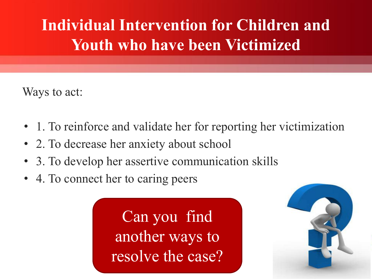### **Individual Intervention for Children and Youth who have been Victimized**

Ways to act:

- 1. To reinforce and validate her for reporting her victimization
- 2. To decrease her anxiety about school
- 3. To develop her assertive communication skills
- 4. To connect her to caring peers

Can you find another ways to resolve the case?

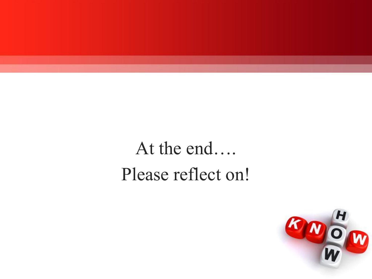## At the end…. Please reflect on!